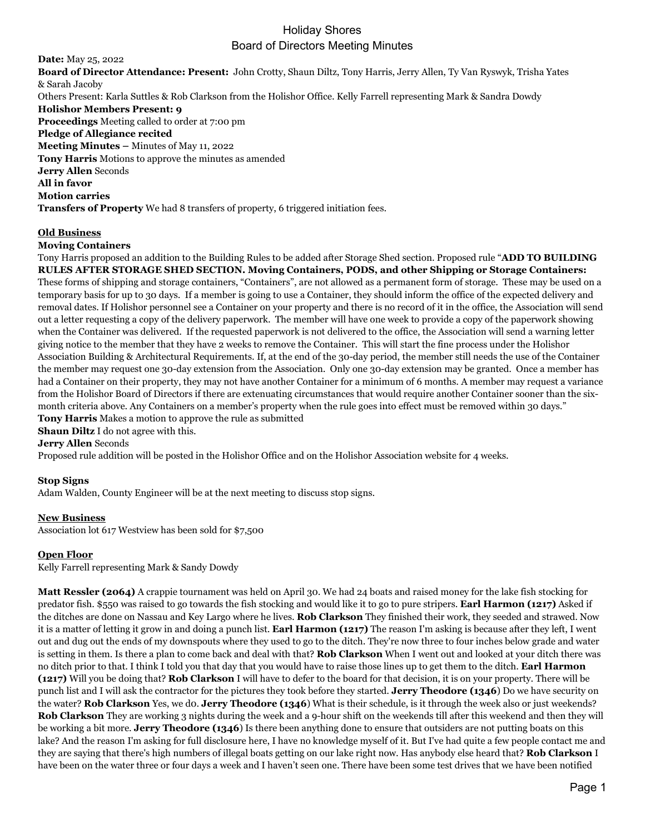# Holiday Shores Board of Directors Meeting Minutes

**Date:** May 25, 2022 **Board of Director Attendance: Present:** John Crotty, Shaun Diltz, Tony Harris, Jerry Allen, Ty Van Ryswyk, Trisha Yates & Sarah Jacoby Others Present: Karla Suttles & Rob Clarkson from the Holishor Office. Kelly Farrell representing Mark & Sandra Dowdy **Holishor Members Present: 9 Proceedings** Meeting called to order at 7:00 pm **Pledge of Allegiance recited Meeting Minutes –** Minutes of May 11, 2022 **Tony Harris** Motions to approve the minutes as amended **Jerry Allen** Seconds **All in favor Motion carries Transfers of Property** We had 8 transfers of property, 6 triggered initiation fees.

### **Old Business**

### **Moving Containers**

Tony Harris proposed an addition to the Building Rules to be added after Storage Shed section. Proposed rule "**ADD TO BUILDING RULES AFTER STORAGE SHED SECTION. Moving Containers, PODS, and other Shipping or Storage Containers:** These forms of shipping and storage containers, "Containers", are not allowed as a permanent form of storage. These may be used on a temporary basis for up to 30 days. If a member is going to use a Container, they should inform the office of the expected delivery and removal dates. If Holishor personnel see a Container on your property and there is no record of it in the office, the Association will send out a letter requesting a copy of the delivery paperwork. The member will have one week to provide a copy of the paperwork showing when the Container was delivered. If the requested paperwork is not delivered to the office, the Association will send a warning letter giving notice to the member that they have 2 weeks to remove the Container. This will start the fine process under the Holishor Association Building & Architectural Requirements. If, at the end of the 30-day period, the member still needs the use of the Container the member may request one 30-day extension from the Association. Only one 30-day extension may be granted. Once a member has had a Container on their property, they may not have another Container for a minimum of 6 months. A member may request a variance from the Holishor Board of Directors if there are extenuating circumstances that would require another Container sooner than the sixmonth criteria above. Any Containers on a member's property when the rule goes into effect must be removed within 30 days." **Tony Harris** Makes a motion to approve the rule as submitted

#### **Shaun Diltz** I do not agree with this.

**Jerry Allen** Seconds

Proposed rule addition will be posted in the Holishor Office and on the Holishor Association website for 4 weeks.

#### **Stop Signs**

Adam Walden, County Engineer will be at the next meeting to discuss stop signs.

#### **New Business**

Association lot 617 Westview has been sold for \$7,500

## **Open Floor**

Kelly Farrell representing Mark & Sandy Dowdy

**Matt Ressler (2064)** A crappie tournament was held on April 30. We had 24 boats and raised money for the lake fish stocking for predator fish. \$550 was raised to go towards the fish stocking and would like it to go to pure stripers. **Earl Harmon (1217)** Asked if the ditches are done on Nassau and Key Largo where he lives. **Rob Clarkson** They finished their work, they seeded and strawed. Now it is a matter of letting it grow in and doing a punch list. **Earl Harmon (1217)** The reason I'm asking is because after they left, I went out and dug out the ends of my downspouts where they used to go to the ditch. They're now three to four inches below grade and water is setting in them. Is there a plan to come back and deal with that? **Rob Clarkson** When I went out and looked at your ditch there was no ditch prior to that. I think I told you that day that you would have to raise those lines up to get them to the ditch. **Earl Harmon (1217)** Will you be doing that? **Rob Clarkson** I will have to defer to the board for that decision, it is on your property. There will be punch list and I will ask the contractor for the pictures they took before they started. **Jerry Theodore (1346**) Do we have security on the water? **Rob Clarkson** Yes, we d0. **Jerry Theodore (1346**) What is their schedule, is it through the week also or just weekends? **Rob Clarkson** They are working 3 nights during the week and a 9-hour shift on the weekends till after this weekend and then they will be working a bit more. **Jerry Theodore (1346**) Is there been anything done to ensure that outsiders are not putting boats on this lake? And the reason I'm asking for full disclosure here, I have no knowledge myself of it. But I've had quite a few people contact me and they are saying that there's high numbers of illegal boats getting on our lake right now. Has anybody else heard that? **Rob Clarkson** I have been on the water three or four days a week and I haven't seen one. There have been some test drives that we have been notified